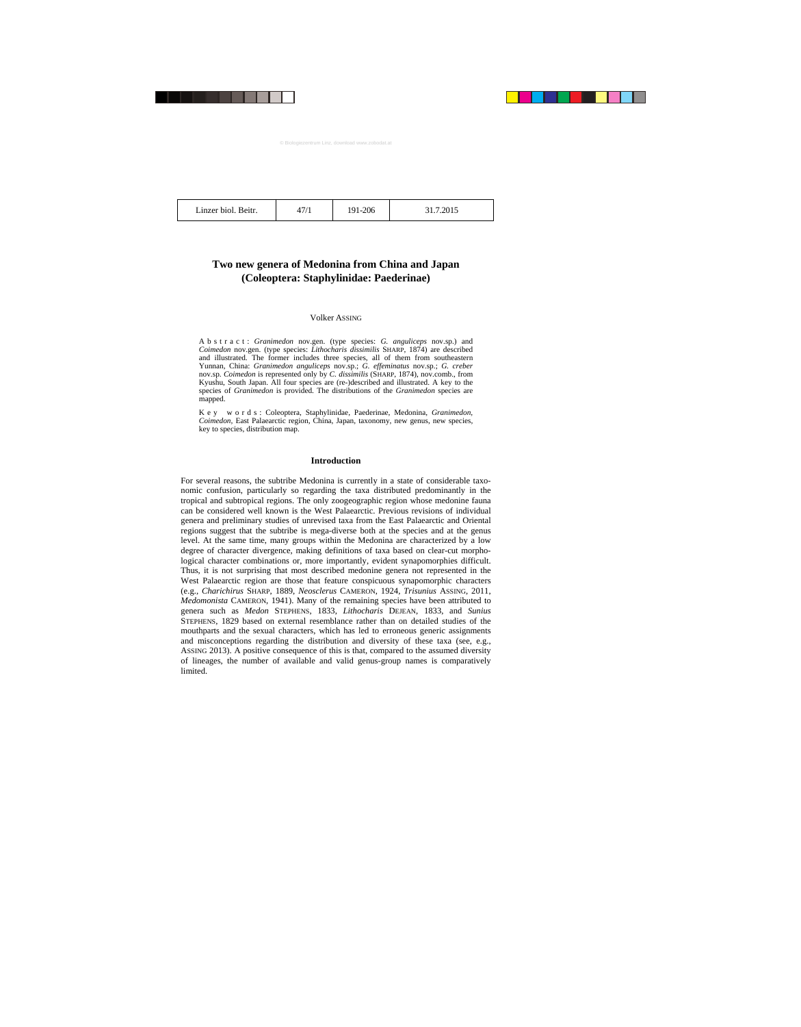| Linzer biol. Beitr. |  |  |
|---------------------|--|--|
|---------------------|--|--|

47/1 191-206 31.7.2015

# **Two new genera of Medonina from China and Japan (Coleoptera: Staphylinidae: Paederinae)**

# Volker ASSING

A b s t r a c t : *Granimedon* nov.gen. (type species: *G. anguliceps* nov.sp.) and *Coimedon* nov.gen. (type species: *Lithocharis dissimilis* SHARP, 1874) are described and illustrated. The former includes three species, all of them from southeastern Yunnan, China: *Granimedon anguliceps* nov.sp.; *G. effeminatus* nov.sp.; *G. creber* nov.sp. *Coimedon* is represented only by *C. dissimilis* (SHARP, 1874), nov.comb., from Kyushu, South Japan. All four species are (re-)described and illustrated. A key to the species of *Granimedon* is provided. The distributions of the *Granimedon* species are mapped.

K e y w o r d s : Coleoptera, Staphylinidae, Paederinae, Medonina, *Granimedon, Coimedon,* East Palaearctic region, China, Japan, taxonomy, new genus, new species, key to species, distribution map.

# **Introduction**

For several reasons, the subtribe Medonina is currently in a state of considerable taxonomic confusion, particularly so regarding the taxa distributed predominantly in the tropical and subtropical regions. The only zoogeographic region whose medonine fauna can be considered well known is the West Palaearctic. Previous revisions of individual genera and preliminary studies of unrevised taxa from the East Palaearctic and Oriental regions suggest that the subtribe is mega-diverse both at the species and at the genus level. At the same time, many groups within the Medonina are characterized by a low degree of character divergence, making definitions of taxa based on clear-cut morphological character combinations or, more importantly, evident synapomorphies difficult. Thus, it is not surprising that most described medonine genera not represented in the West Palaearctic region are those that feature conspicuous synapomorphic characters (e.g., *Charichirus* SHARP, 1889, *Neosclerus* CAMERON, 1924, *Trisunius* ASSING, 2011, *Medomonista* CAMERON, 1941). Many of the remaining species have been attributed to genera such as *Medon* STEPHENS, 1833, *Lithocharis* DEJEAN, 1833, and *Sunius* STEPHENS, 1829 based on external resemblance rather than on detailed studies of the mouthparts and the sexual characters, which has led to erroneous generic assignments and misconceptions regarding the distribution and diversity of these taxa (see, e.g., ASSING 2013). A positive consequence of this is that, compared to the assumed diversity of lineages, the number of available and valid genus-group names is comparatively limited.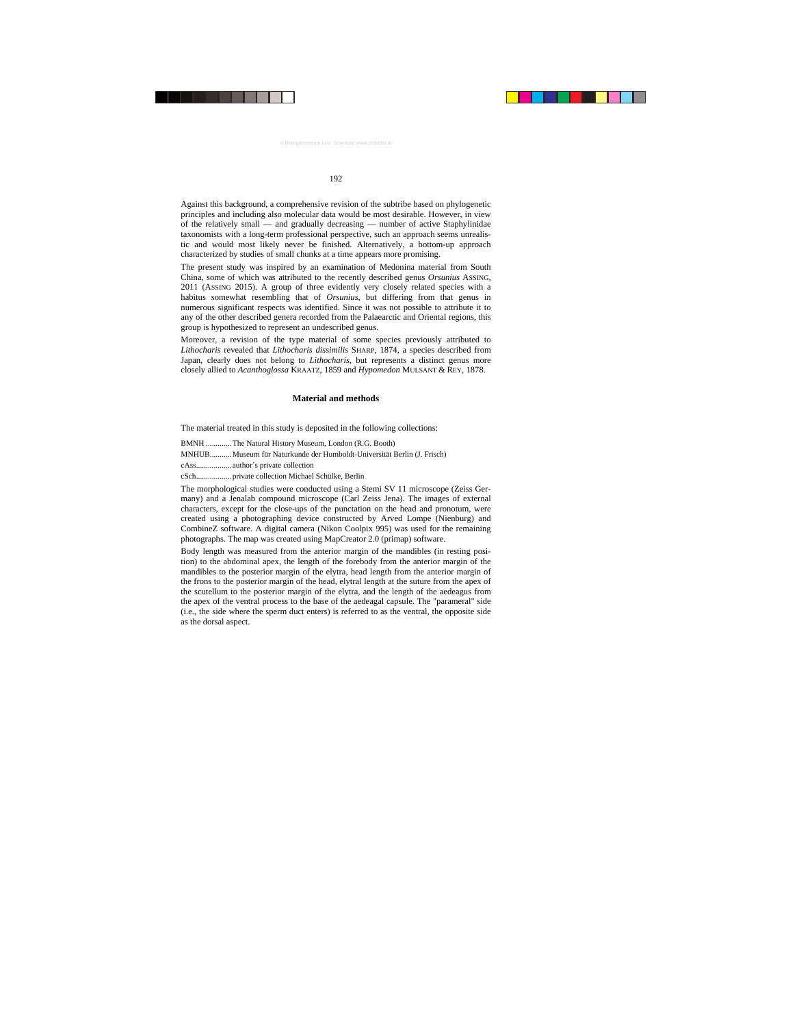Against this background, a comprehensive revision of the subtribe based on phylogenetic principles and including also molecular data would be most desirable. However, in view of the relatively small — and gradually decreasing — number of active Staphylinidae taxonomists with a long-term professional perspective, such an approach seems unrealistic and would most likely never be finished. Alternatively, a bottom-up approach characterized by studies of small chunks at a time appears more promising.

The present study was inspired by an examination of Medonina material from South China, some of which was attributed to the recently described genus *Orsunius* ASSING, 2011 (ASSING 2015). A group of three evidently very closely related species with a habitus somewhat resembling that of *Orsunius*, but differing from that genus in numerous significant respects was identified. Since it was not possible to attribute it to any of the other described genera recorded from the Palaearctic and Oriental regions, this group is hypothesized to represent an undescribed genus.

Moreover, a revision of the type material of some species previously attributed to *Lithocharis* revealed that *Lithocharis dissimilis* SHARP, 1874, a species described from Japan, clearly does not belong to *Lithocharis*, but represents a distinct genus more closely allied to *Acanthoglossa* KRAATZ, 1859 and *Hypomedon* MULSANT & REY, 1878.

# **Material and methods**

The material treated in this study is deposited in the following collections:

BMNH ............. The Natural History Museum, London (R.G. Booth)

MNHUB........... Museum für Naturkunde der Humboldt-Universität Berlin (J. Frisch)

cAss.................. author´s private collection

cSch.................. private collection Michael Schülke, Berlin

The morphological studies were conducted using a Stemi SV 11 microscope (Zeiss Germany) and a Jenalab compound microscope (Carl Zeiss Jena). The images of external characters, except for the close-ups of the punctation on the head and pronotum, were created using a photographing device constructed by Arved Lompe (Nienburg) and CombineZ software. A digital camera (Nikon Coolpix 995) was used for the remaining photographs. The map was created using MapCreator 2.0 (primap) software.

Body length was measured from the anterior margin of the mandibles (in resting position) to the abdominal apex, the length of the forebody from the anterior margin of the mandibles to the posterior margin of the elytra, head length from the anterior margin of the frons to the posterior margin of the head, elytral length at the suture from the apex of the scutellum to the posterior margin of the elytra, and the length of the aedeagus from the apex of the ventral process to the base of the aedeagal capsule. The "parameral" side (i.e., the side where the sperm duct enters) is referred to as the ventral, the opposite side as the dorsal aspect.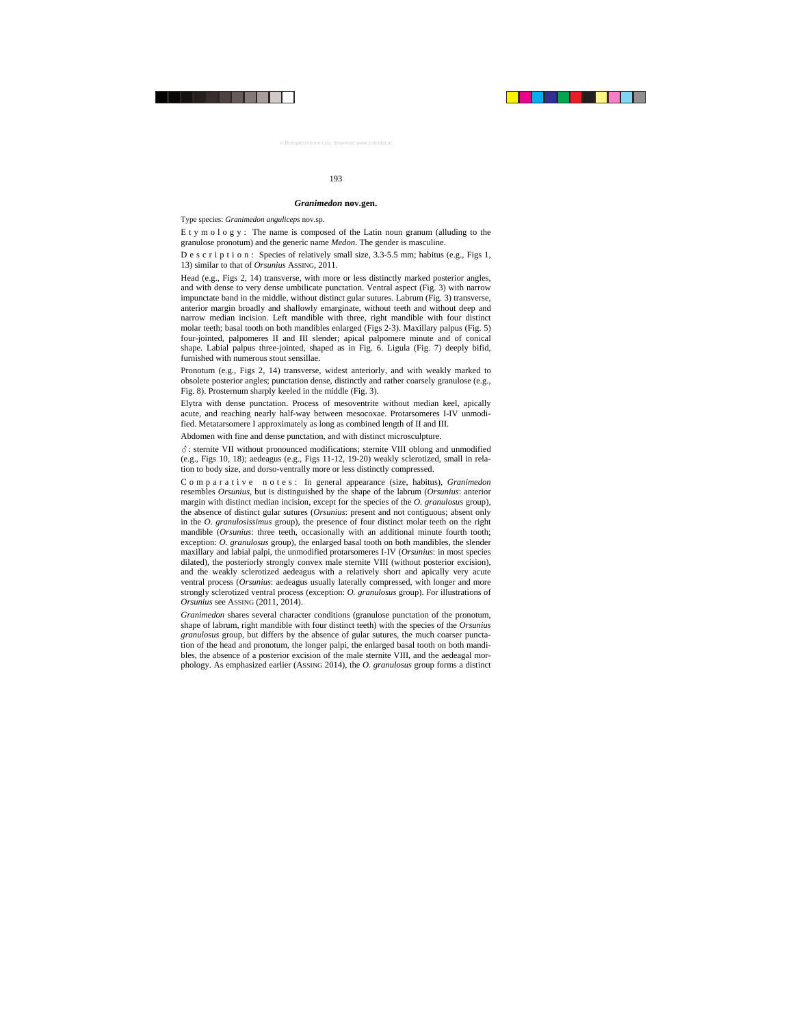### *Granimedon* **nov.gen.**

Type species: *Granimedon anguliceps* nov.sp.

E t y m o l o g y : The name is composed of the Latin noun granum (alluding to the granulose pronotum) and the generic name *Medon*. The gender is masculine.

D e s c r i p t i o n : Species of relatively small size,  $3.3-5.5$  mm; habitus (e.g., Figs 1, 13) similar to that of *Orsunius* ASSING, 2011.

Head (e.g., Figs 2, 14) transverse, with more or less distinctly marked posterior angles, and with dense to very dense umbilicate punctation. Ventral aspect (Fig. 3) with narrow impunctate band in the middle, without distinct gular sutures. Labrum (Fig. 3) transverse, anterior margin broadly and shallowly emarginate, without teeth and without deep and narrow median incision. Left mandible with three, right mandible with four distinct molar teeth; basal tooth on both mandibles enlarged (Figs 2-3). Maxillary palpus (Fig. 5) four-jointed, palpomeres II and III slender; apical palpomere minute and of conical shape. Labial palpus three-jointed, shaped as in Fig. 6. Ligula (Fig. 7) deeply bifid, furnished with numerous stout sensillae.

Pronotum (e.g., Figs 2, 14) transverse, widest anteriorly, and with weakly marked to obsolete posterior angles; punctation dense, distinctly and rather coarsely granulose (e.g., Fig. 8). Prosternum sharply keeled in the middle (Fig. 3).

Elytra with dense punctation. Process of mesoventrite without median keel, apically acute, and reaching nearly half-way between mesocoxae. Protarsomeres I-IV unmodified. Metatarsomere I approximately as long as combined length of II and III.

Abdomen with fine and dense punctation, and with distinct microsculpture.

-: sternite VII without pronounced modifications; sternite VIII oblong and unmodified (e.g., Figs 10, 18); aedeagus (e.g., Figs 11-12, 19-20) weakly sclerotized, small in relation to body size, and dorso-ventrally more or less distinctly compressed.

C o m p a r a t i v e n o t e s : In general appearance (size, habitus), *Granimedon* resembles *Orsunius*, but is distinguished by the shape of the labrum (*Orsunius*: anterior margin with distinct median incision, except for the species of the *O. granulosus* group), the absence of distinct gular sutures (*Orsunius*: present and not contiguous; absent only in the *O. granulosissimus* group), the presence of four distinct molar teeth on the right mandible (*Orsunius*: three teeth, occasionally with an additional minute fourth tooth; exception: *O. granulosus* group), the enlarged basal tooth on both mandibles, the slender maxillary and labial palpi, the unmodified protarsomeres I-IV (*Orsunius*: in most species dilated), the posteriorly strongly convex male sternite VIII (without posterior excision), and the weakly sclerotized aedeagus with a relatively short and apically very acute ventral process (*Orsunius*: aedeagus usually laterally compressed, with longer and more strongly sclerotized ventral process (exception: *O. granulosus* group). For illustrations of *Orsunius* see ASSING (2011, 2014).

*Granimedon* shares several character conditions (granulose punctation of the pronotum, shape of labrum, right mandible with four distinct teeth) with the species of the *Orsunius granulosus* group, but differs by the absence of gular sutures, the much coarser punctation of the head and pronotum, the longer palpi, the enlarged basal tooth on both mandibles, the absence of a posterior excision of the male sternite VIII, and the aedeagal morphology. As emphasized earlier (ASSING 2014), the *O. granulosus* group forms a distinct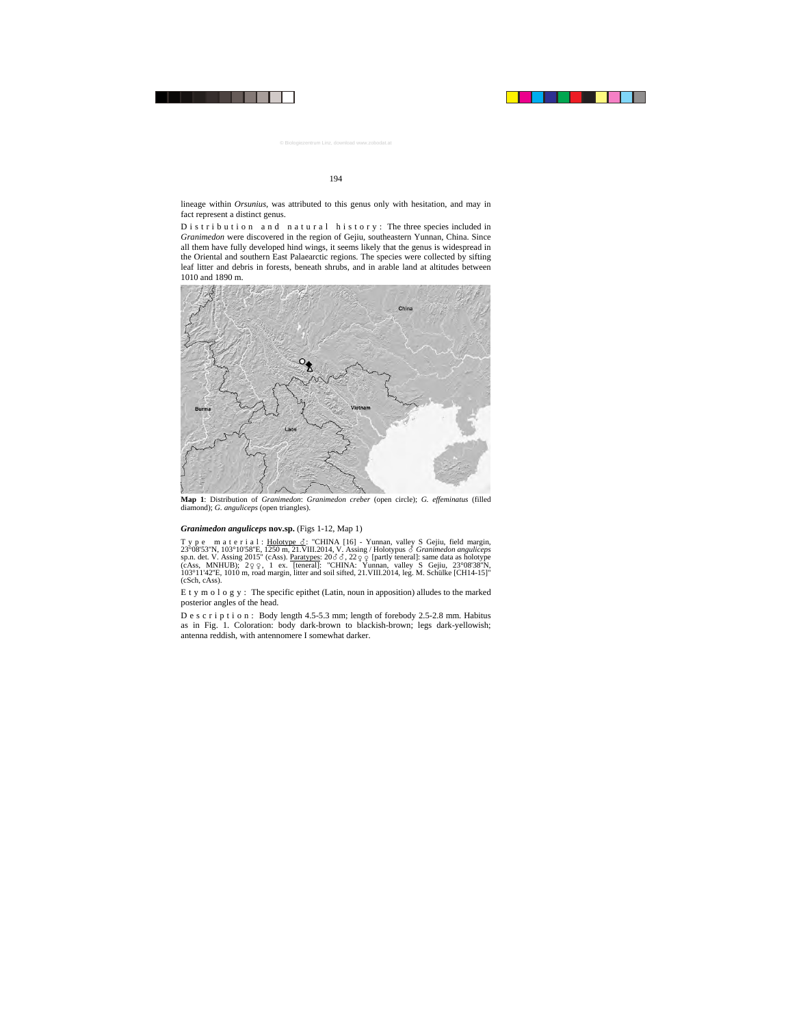lineage within *Orsunius*, was attributed to this genus only with hesitation, and may in fact represent a distinct genus.

D is t r i b u t i o n a n d n a t u r a l h is t o r y : The three species included in *Granimedon* were discovered in the region of Gejiu, southeastern Yunnan, China. Since all them have fully developed hind wings, it seems likely that the genus is widespread in the Oriental and southern East Palaearctic regions. The species were collected by sifting leaf litter and debris in forests, beneath shrubs, and in arable land at altitudes between 1010 and 1890 m.



**Map 1**: Distribution of *Granimedon*: *Granimedon creber* (open circle); *G. effeminatus* (filled diamond); *G. anguliceps* (open triangles).

#### *Granimedon anguliceps* **nov.sp.** (Figs 1-12, Map 1)

Type material: Holotype  $\delta$ : "CHINA [16] - Yunnan, valley S Gejiu, field margin, 23°08'53''N, 103°10'58''E, 1250 m, 21.VIII.2014, V. Assing / Holotypus - *Granimedon anguliceps* sp.n. det. V. Assing 2015" (cAss). <u>Paratypes</u>:  $20\delta\delta$ ,  $22\varphi\varphi$  [partly teneral]: same data as holotype (cAss, MNHUB);  $2\varphi \varphi$ , 1 ex. [teneral]: "CHINA: Yunnan, valley S Gejiu,  $23^{\circ}08'38''N$ , 103°11'42''E, 1010 m, road margin, litter and soil sifted, 21.VIII.2014, leg. M. Schülke [CH14-15]" (cSch, cAss).

E t y m o l o g y : The specific epithet (Latin, noun in apposition) alludes to the marked posterior angles of the head.

D e s c r i p t i o n : Body length 4.5-5.3 mm; length of forebody 2.5-2.8 mm. Habitus as in Fig. 1. Coloration: body dark-brown to blackish-brown; legs dark-yellowish; antenna reddish, with antennomere I somewhat darker.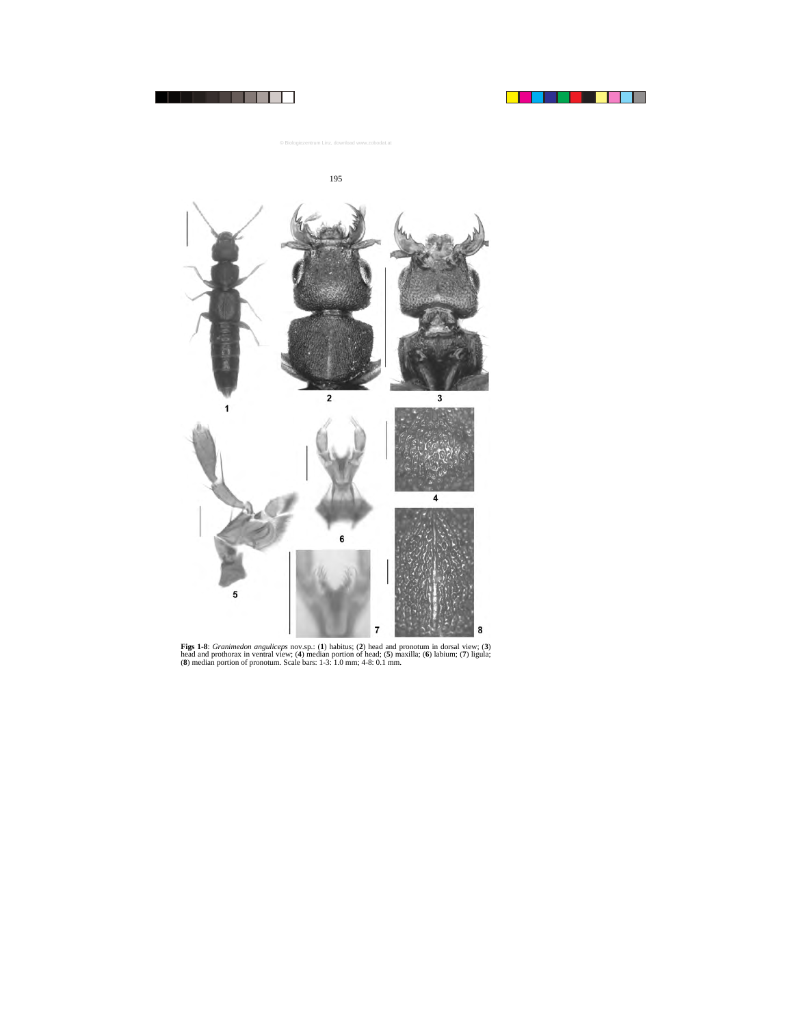

**Figs 1-8**: *Granimedon anguliceps* nov.sp.: (**1**) habitus; (**2**) head and pronotum in dorsal view; (**3**) head and prothorax in ventral view; (**4**) median portion of head; (**5**) maxilla; (**6**) labium; (**7**) ligula; (**8**) median portion of pronotum. Scale bars: 1-3: 1.0 mm; 4-8: 0.1 mm.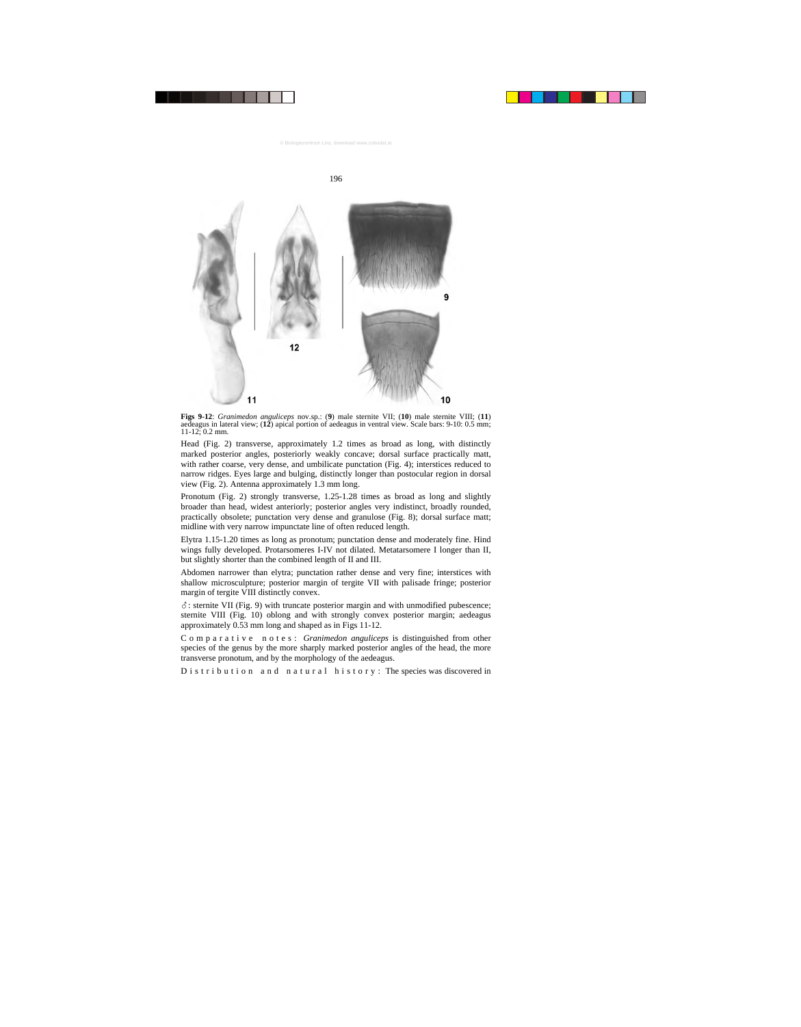

**Figs 9-12**: *Granimedon anguliceps* nov.sp.: (**9**) male sternite VII; (**10**) male sternite VIII; (**11**) aedeagus in lateral view; (**12**) apical portion of aedeagus in ventral view. Scale bars: 9-10: 0.5 mm; 11-12; 0.2 mm.

Head (Fig. 2) transverse, approximately 1.2 times as broad as long, with distinctly marked posterior angles, posteriorly weakly concave; dorsal surface practically matt, with rather coarse, very dense, and umbilicate punctation (Fig. 4); interstices reduced to narrow ridges. Eyes large and bulging, distinctly longer than postocular region in dorsal view (Fig. 2). Antenna approximately 1.3 mm long.

Pronotum (Fig. 2) strongly transverse, 1.25-1.28 times as broad as long and slightly broader than head, widest anteriorly; posterior angles very indistinct, broadly rounded, practically obsolete; punctation very dense and granulose (Fig. 8); dorsal surface matt; midline with very narrow impunctate line of often reduced length.

Elytra 1.15-1.20 times as long as pronotum; punctation dense and moderately fine. Hind wings fully developed. Protarsomeres I-IV not dilated. Metatarsomere I longer than II, but slightly shorter than the combined length of II and III.

Abdomen narrower than elytra; punctation rather dense and very fine; interstices with shallow microsculpture; posterior margin of tergite VII with palisade fringe; posterior margin of tergite VIII distinctly convex.

-: sternite VII (Fig. 9) with truncate posterior margin and with unmodified pubescence; sternite VIII (Fig. 10) oblong and with strongly convex posterior margin; aedeagus approximately 0.53 mm long and shaped as in Figs 11-12.

Comparative notes: *Granimedon anguliceps* is distinguished from other species of the genus by the more sharply marked posterior angles of the head, the more transverse pronotum, and by the morphology of the aedeagus.

D is t r i b u t i o n a n d n a t u r a l h is t o r y : The species was discovered in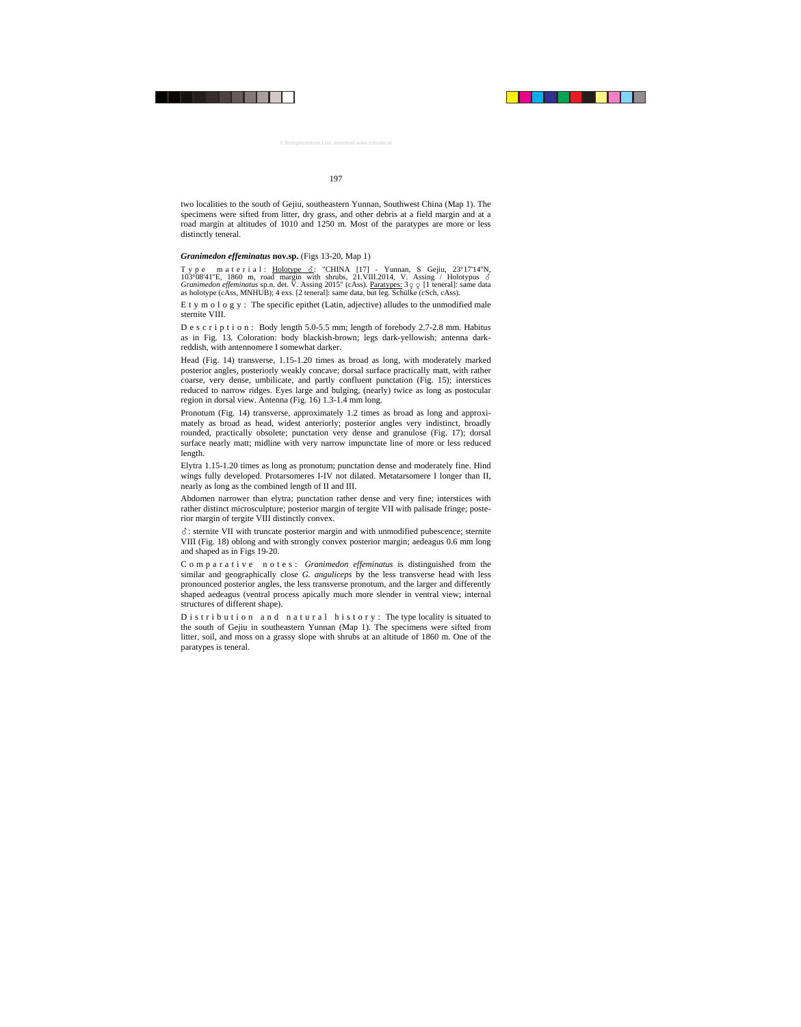two localities to the south of Gejiu, southeastern Yunnan, Southwest China (Map 1). The specimens were sifted from litter, dry grass, and other debris at a field margin and at a road margin at altitudes of 1010 and 1250 m. Most of the paratypes are more or less distinctly teneral.

# *Granimedon effeminatus* **nov.sp.** (Figs 13-20, Map 1)

Type material: <u>Holotype δ</u>: "CHINA [17] – Yunnan, S Gejiu, 23°17'14''N, 103°08'41"E, 1860 m, road margin with shrubs, 21.VIII.2014, V. Assing / Holotypus  $\delta$  *Granimedon effeminatus* sp.n. det. V. Assing 2015" (cAss). <u>Paratypes:</u>  $3\varphi \varphi$  [1 teneral]: same data as holotype (cAss, MNHUB); 4

E t y m o l o g y : The specific epithet (Latin, adjective) alludes to the unmodified male sternite VIII.

D e s c r i p t i o n : Body length 5.0-5.5 mm; length of forebody 2.7-2.8 mm. Habitus as in Fig. 13. Coloration: body blackish-brown; legs dark-yellowish; antenna darkreddish, with antennomere I somewhat darker.

Head (Fig. 14) transverse, 1.15-1.20 times as broad as long, with moderately marked posterior angles, posteriorly weakly concave; dorsal surface practically matt, with rather coarse, very dense, umbilicate, and partly confluent punctation (Fig. 15); interstices reduced to narrow ridges. Eyes large and bulging, (nearly) twice as long as postocular region in dorsal view. Antenna (Fig. 16) 1.3-1.4 mm long.

Pronotum (Fig. 14) transverse, approximately 1.2 times as broad as long and approximately as broad as head, widest anteriorly; posterior angles very indistinct, broadly rounded, practically obsolete; punctation very dense and granulose (Fig. 17); dorsal surface nearly matt; midline with very narrow impunctate line of more or less reduced length.

Elytra 1.15-1.20 times as long as pronotum; punctation dense and moderately fine. Hind wings fully developed. Protarsomeres I-IV not dilated. Metatarsomere I longer than II, nearly as long as the combined length of II and III.

Abdomen narrower than elytra; punctation rather dense and very fine; interstices with rather distinct microsculpture; posterior margin of tergite VII with palisade fringe; posterior margin of tergite VIII distinctly convex.

-: sternite VII with truncate posterior margin and with unmodified pubescence; sternite VIII (Fig. 18) oblong and with strongly convex posterior margin; aedeagus 0.6 mm long and shaped as in Figs 19-20.

Comparative notes: *Granimedon effeminatus* is distinguished from the similar and geographically close *G. anguliceps* by the less transverse head with less pronounced posterior angles, the less transverse pronotum, and the larger and differently shaped aedeagus (ventral process apically much more slender in ventral view; internal structures of different shape).

D is t r i b u t i o n a n d n a t u r a l h is t o r y : The type locality is situated to the south of Gejiu in southeastern Yunnan (Map 1). The specimens were sifted from litter, soil, and moss on a grassy slope with shrubs at an altitude of 1860 m. One of the paratypes is teneral.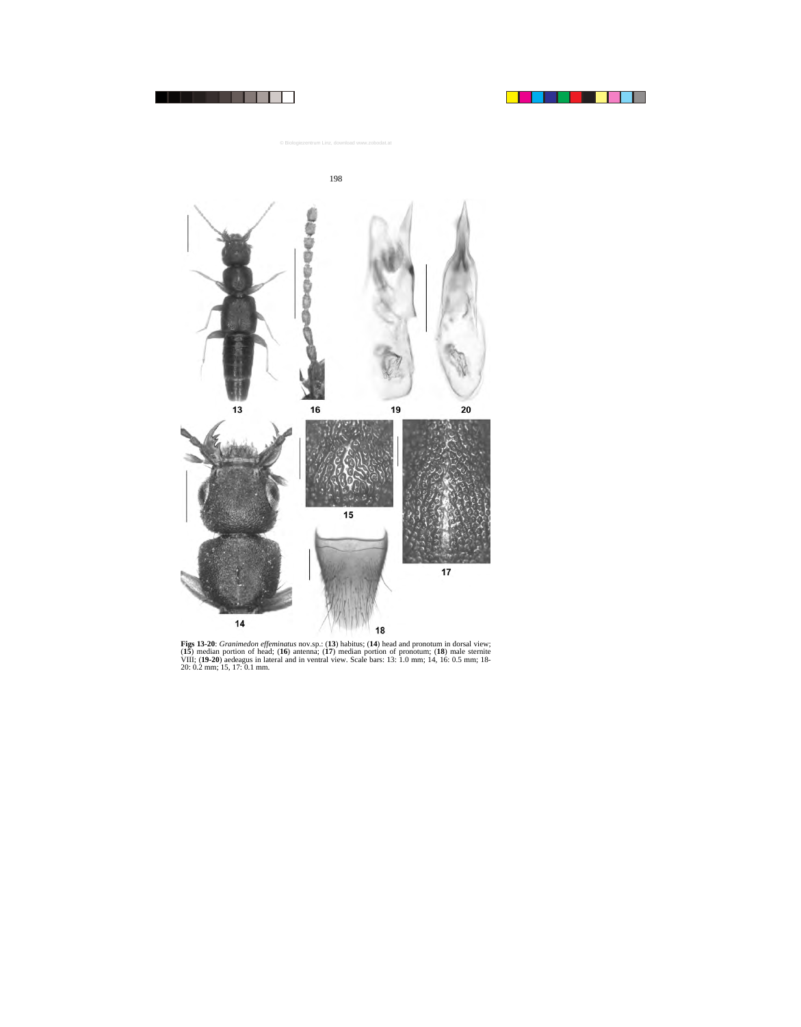



**Figs 13-20**: *Granimedon effeminatus* nov.sp.: (**13**) habitus; (**14**) head and pronotum in dorsal view; (**15**) median portion of head; (**16**) antenna; (**17**) median portion of pronotum; (**18**) male sternite VIII; (**19-20**) aedeagus in lateral and in ventral view. Scale bars: 13: 1.0 mm; 14, 16: 0.5 mm; 18- 20: 0.2 mm; 15, 17: 0.1 mm.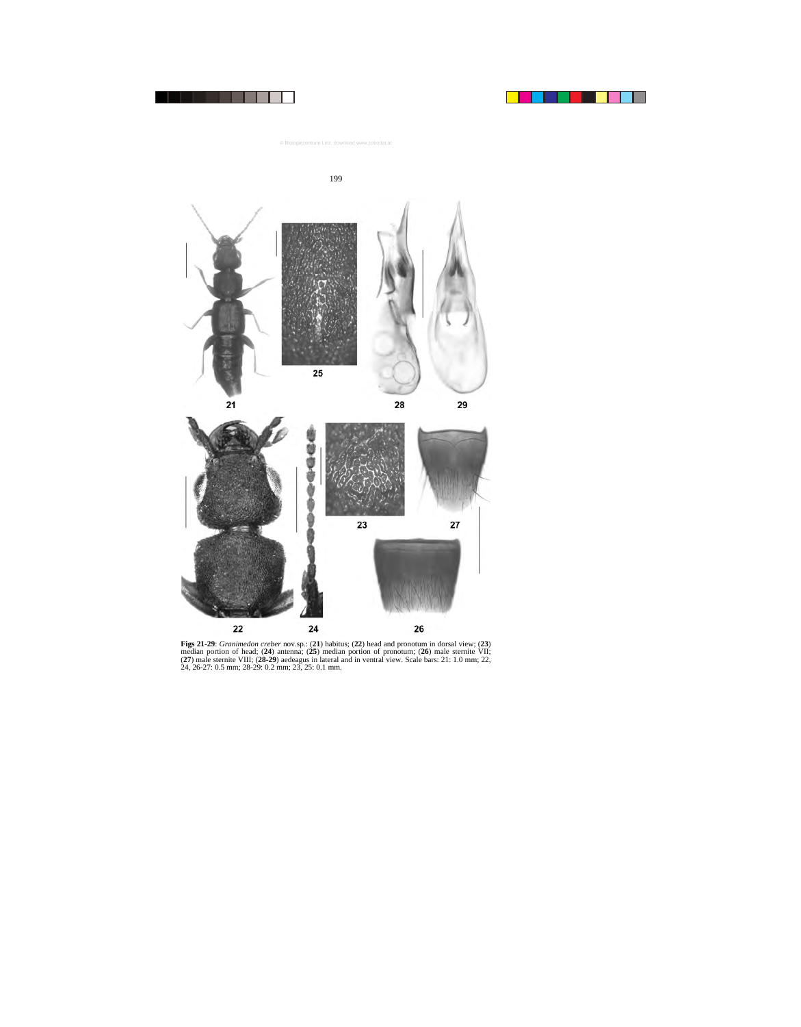



**Figs 21-29**: *Granimedon creber* nov.sp.: (**21**) habitus; (**22**) head and pronotum in dorsal view; (**23**) median portion of head; (**24**) antenna; (**25**) median portion of pronotum; (**26**) male sternite VII; (**27**) male sternite VIII; (**28-29**) aedeagus in lateral and in ventral view. Scale bars: 21: 1.0 mm; 22, 24, 26-27: 0.5 mm; 28-29: 0.2 mm; 23, 25: 0.1 mm.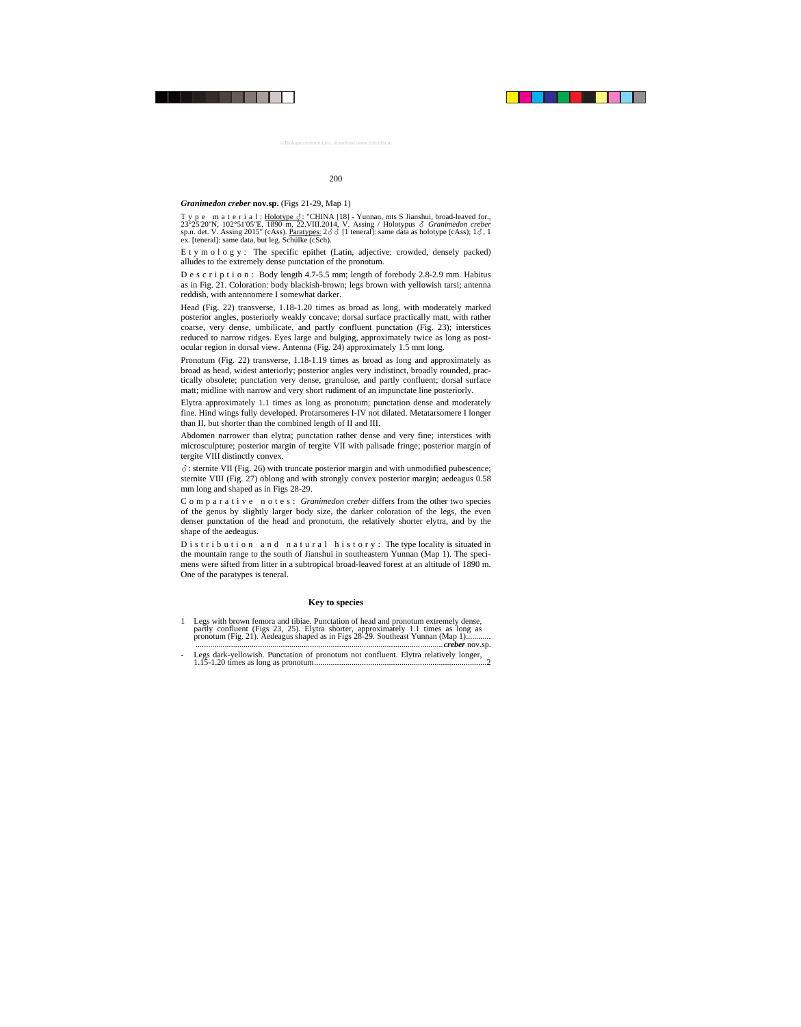#### *Granimedon creber* **nov.sp.** (Figs 21-29, Map 1)

T y p e m a t e r i a l :  $\underline{\text{Holotype} \ \mathcal{S}}$ : "CHINA [18] - Yunnan, mts S Jianshui, broad-leaved for., 23°25'20''N, 102°51'05''E, 1890 m, 22.VIII.2014, V. Assing / Holotypus - *Granimedon creber* sp.n. det. V. Assing 2015" (cAss). Paratypes:  $2\delta \delta$  [1 teneral]: same data as holotype (cAss);  $1\delta$ , 1 ex. [teneral]: same data, but leg. Schülke (cSch).

E t y m o l o g y : The specific epithet (Latin, adjective: crowded, densely packed) alludes to the extremely dense punctation of the pronotum.

D e s c r i p t i o n : Body length 4.7-5.5 mm; length of forebody 2.8-2.9 mm. Habitus as in Fig. 21. Coloration: body blackish-brown; legs brown with yellowish tarsi; antenna reddish, with antennomere I somewhat darker.

Head (Fig. 22) transverse, 1.18-1.20 times as broad as long, with moderately marked posterior angles, posteriorly weakly concave; dorsal surface practically matt, with rather coarse, very dense, umbilicate, and partly confluent punctation (Fig. 23); interstices reduced to narrow ridges. Eyes large and bulging, approximately twice as long as postocular region in dorsal view. Antenna (Fig. 24) approximately 1.5 mm long.

Pronotum (Fig. 22) transverse, 1.18-1.19 times as broad as long and approximately as broad as head, widest anteriorly; posterior angles very indistinct, broadly rounded, practically obsolete; punctation very dense, granulose, and partly confluent; dorsal surface matt; midline with narrow and very short rudiment of an impunctate line posteriorly.

Elytra approximately 1.1 times as long as pronotum; punctation dense and moderately fine. Hind wings fully developed. Protarsomeres I-IV not dilated. Metatarsomere I longer than II, but shorter than the combined length of II and III.

Abdomen narrower than elytra; punctation rather dense and very fine; interstices with microsculpture; posterior margin of tergite VII with palisade fringe; posterior margin of tergite VIII distinctly convex.

-: sternite VII (Fig. 26) with truncate posterior margin and with unmodified pubescence; sternite VIII (Fig. 27) oblong and with strongly convex posterior margin; aedeagus 0.58 mm long and shaped as in Figs 28-29.

Comparative notes: *Granimedon creber* differs from the other two species of the genus by slightly larger body size, the darker coloration of the legs, the even denser punctation of the head and pronotum, the relatively shorter elytra, and by the shape of the aedeagus.

 $D$  is t r i b u t i o n a n d n a t u r a l h is t o r y : The type locality is situated in the mountain range to the south of Jianshui in southeastern Yunnan (Map 1). The specimens were sifted from litter in a subtropical broad-leaved forest at an altitude of 1890 m. One of the paratypes is teneral.

# **Key to species**

| 1 Legs with brown femora and tibiae. Punctation of head and pronotum extremely dense,<br>partly confluent (Figs 23, 25). Elytra shorter, approximately 1.1 times as long as<br>pronotum (Fig. 21). Aedeagus shaped as in Figs 28-29. Southeast Yunnan (Map 1) |
|---------------------------------------------------------------------------------------------------------------------------------------------------------------------------------------------------------------------------------------------------------------|
| - Legs dark-yellowish. Punctation of pronotum not confluent. Elytra relatively longer,                                                                                                                                                                        |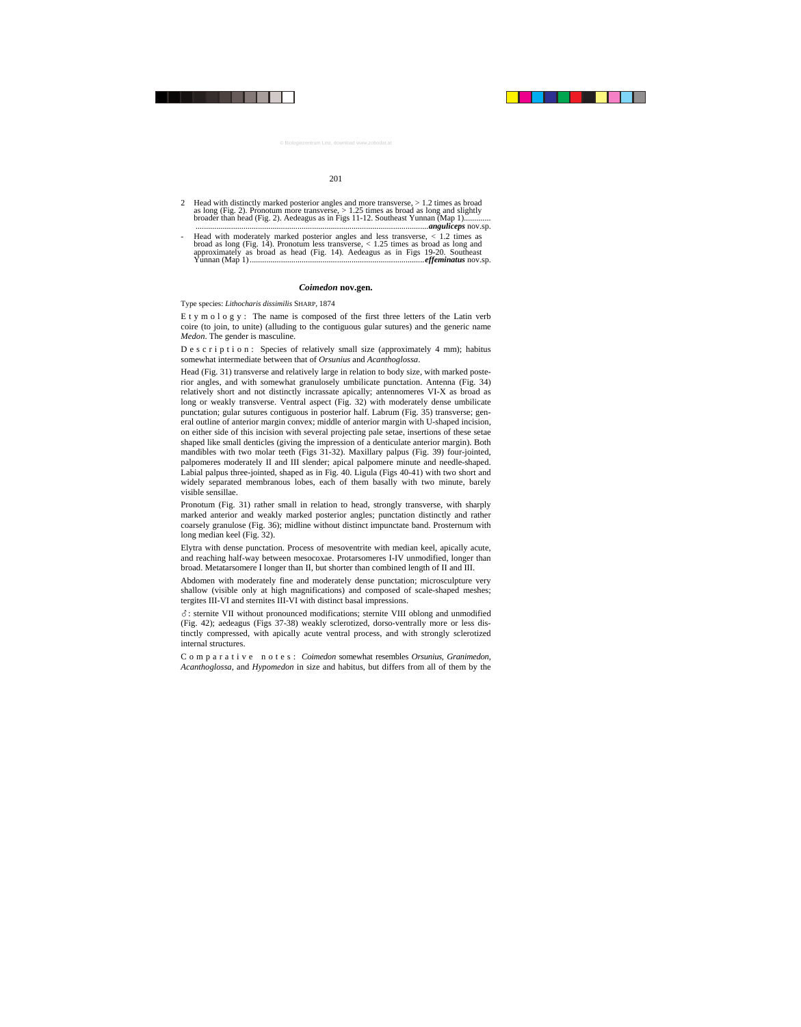- 2 Head with distinctly marked posterior angles and more transverse, > 1.2 times as broad as long (Fig. 2). Pronotum more transverse,  $> 1.25$  times as broad as long and slightly broader than head (Fig. 2). Aedeagus as in Figs 11-12. Southeast Yunnan (Map 1)............. ................................................................................................................*anguliceps* nov.sp.
- Head with moderately marked posterior angles and less transverse,  $< 1.2$  times as broad as long (Fig. 14). Pronotum less transverse,  $< 1.25$  times as broad as long and approximately as broad as head (Fig. 14). Aedeagus as in Figs 19-20. Southeast Yunnan (Map 1) ....................................................................................*effeminatus* nov.sp.

# *Coimedon* **nov.gen.**

Type species: *Lithocharis dissimilis* SHARP, 1874

E t y m o  $l$  o g y : The name is composed of the first three letters of the Latin verb coire (to join, to unite) (alluding to the contiguous gular sutures) and the generic name *Medon*. The gender is masculine.

D e s c r i p t i o n : Species of relatively small size (approximately 4 mm); habitus somewhat intermediate between that of *Orsunius* and *Acanthoglossa*.

Head (Fig. 31) transverse and relatively large in relation to body size, with marked posterior angles, and with somewhat granulosely umbilicate punctation. Antenna (Fig. 34) relatively short and not distinctly incrassate apically; antennomeres VI-X as broad as long or weakly transverse. Ventral aspect (Fig. 32) with moderately dense umbilicate punctation; gular sutures contiguous in posterior half. Labrum (Fig. 35) transverse; general outline of anterior margin convex; middle of anterior margin with U-shaped incision, on either side of this incision with several projecting pale setae, insertions of these setae shaped like small denticles (giving the impression of a denticulate anterior margin). Both mandibles with two molar teeth (Figs 31-32). Maxillary palpus (Fig. 39) four-jointed, palpomeres moderately II and III slender; apical palpomere minute and needle-shaped. Labial palpus three-jointed, shaped as in Fig. 40. Ligula (Figs 40-41) with two short and widely separated membranous lobes, each of them basally with two minute, barely visible sensillae.

Pronotum (Fig. 31) rather small in relation to head, strongly transverse, with sharply marked anterior and weakly marked posterior angles; punctation distinctly and rather coarsely granulose (Fig. 36); midline without distinct impunctate band. Prosternum with long median keel (Fig. 32).

Elytra with dense punctation. Process of mesoventrite with median keel, apically acute, and reaching half-way between mesocoxae. Protarsomeres I-IV unmodified, longer than broad. Metatarsomere I longer than II, but shorter than combined length of II and III.

Abdomen with moderately fine and moderately dense punctation; microsculpture very shallow (visible only at high magnifications) and composed of scale-shaped meshes; tergites III-VI and sternites III-VI with distinct basal impressions.

-: sternite VII without pronounced modifications; sternite VIII oblong and unmodified (Fig. 42); aedeagus (Figs 37-38) weakly sclerotized, dorso-ventrally more or less distinctly compressed, with apically acute ventral process, and with strongly sclerotized internal structures.

Comparative notes: *Coimedon* somewhat resembles *Orsunius*, *Granimedon*, *Acanthoglossa*, and *Hypomedon* in size and habitus, but differs from all of them by the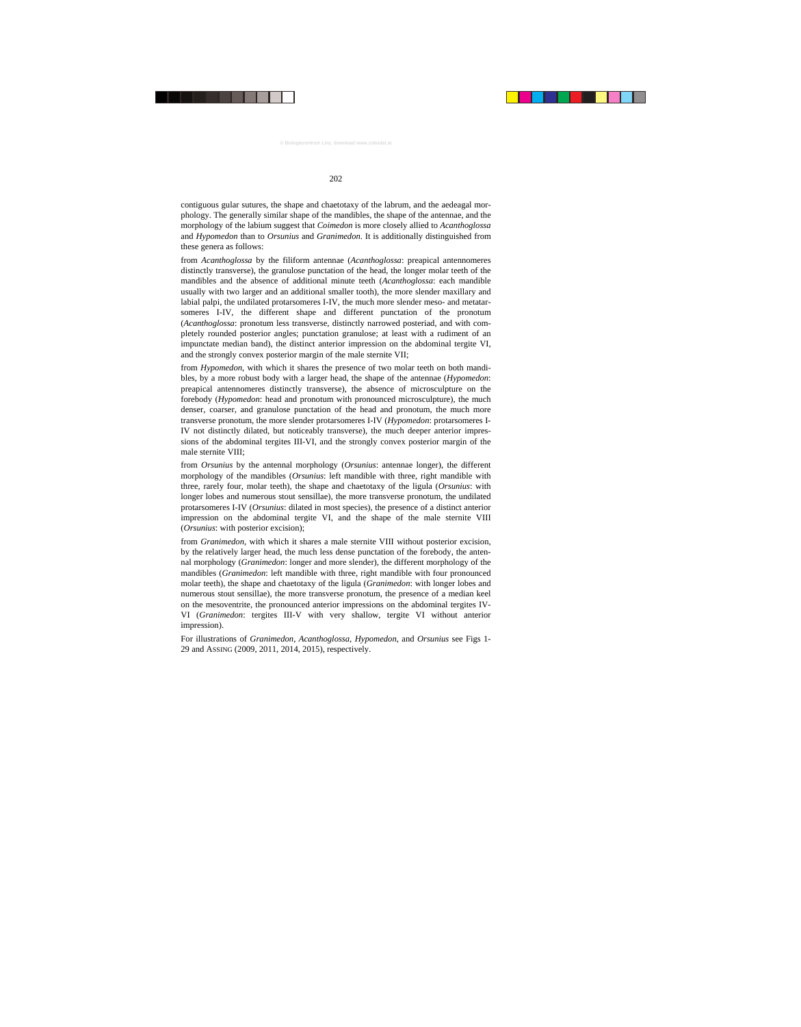contiguous gular sutures, the shape and chaetotaxy of the labrum, and the aedeagal morphology. The generally similar shape of the mandibles, the shape of the antennae, and the morphology of the labium suggest that *Coimedon* is more closely allied to *Acanthoglossa* and *Hypomedon* than to *Orsunius* and *Granimedon*. It is additionally distinguished from these genera as follows:

from *Acanthoglossa* by the filiform antennae (*Acanthoglossa*: preapical antennomeres distinctly transverse), the granulose punctation of the head, the longer molar teeth of the mandibles and the absence of additional minute teeth (*Acanthoglossa*: each mandible usually with two larger and an additional smaller tooth), the more slender maxillary and labial palpi, the undilated protarsomeres I-IV, the much more slender meso- and metatarsomeres I-IV, the different shape and different punctation of the pronotum (*Acanthoglossa*: pronotum less transverse, distinctly narrowed posteriad, and with completely rounded posterior angles; punctation granulose; at least with a rudiment of an impunctate median band), the distinct anterior impression on the abdominal tergite VI, and the strongly convex posterior margin of the male sternite VII;

from *Hypomedon*, with which it shares the presence of two molar teeth on both mandibles, by a more robust body with a larger head, the shape of the antennae (*Hypomedon*: preapical antennomeres distinctly transverse), the absence of microsculpture on the forebody (*Hypomedon*: head and pronotum with pronounced microsculpture), the much denser, coarser, and granulose punctation of the head and pronotum, the much more transverse pronotum, the more slender protarsomeres I-IV (*Hypomedon*: protarsomeres I-IV not distinctly dilated, but noticeably transverse), the much deeper anterior impressions of the abdominal tergites III-VI, and the strongly convex posterior margin of the male sternite VIII;

from *Orsunius* by the antennal morphology (*Orsunius*: antennae longer), the different morphology of the mandibles (*Orsunius*: left mandible with three, right mandible with three, rarely four, molar teeth), the shape and chaetotaxy of the ligula (*Orsunius*: with longer lobes and numerous stout sensillae), the more transverse pronotum, the undilated protarsomeres I-IV (*Orsunius*: dilated in most species), the presence of a distinct anterior impression on the abdominal tergite VI, and the shape of the male sternite VIII (*Orsunius*: with posterior excision);

from *Granimedon*, with which it shares a male sternite VIII without posterior excision, by the relatively larger head, the much less dense punctation of the forebody, the antennal morphology (*Granimedon*: longer and more slender), the different morphology of the mandibles (*Granimedon*: left mandible with three, right mandible with four pronounced molar teeth), the shape and chaetotaxy of the ligula (*Granimedon*: with longer lobes and numerous stout sensillae), the more transverse pronotum, the presence of a median keel on the mesoventrite, the pronounced anterior impressions on the abdominal tergites IV-VI (*Granimedon*: tergites III-V with very shallow, tergite VI without anterior impression).

For illustrations of *Granimedon*, *Acanthoglossa*, *Hypomedon*, and *Orsunius* see Figs 1- 29 and ASSING (2009, 2011, 2014, 2015), respectively.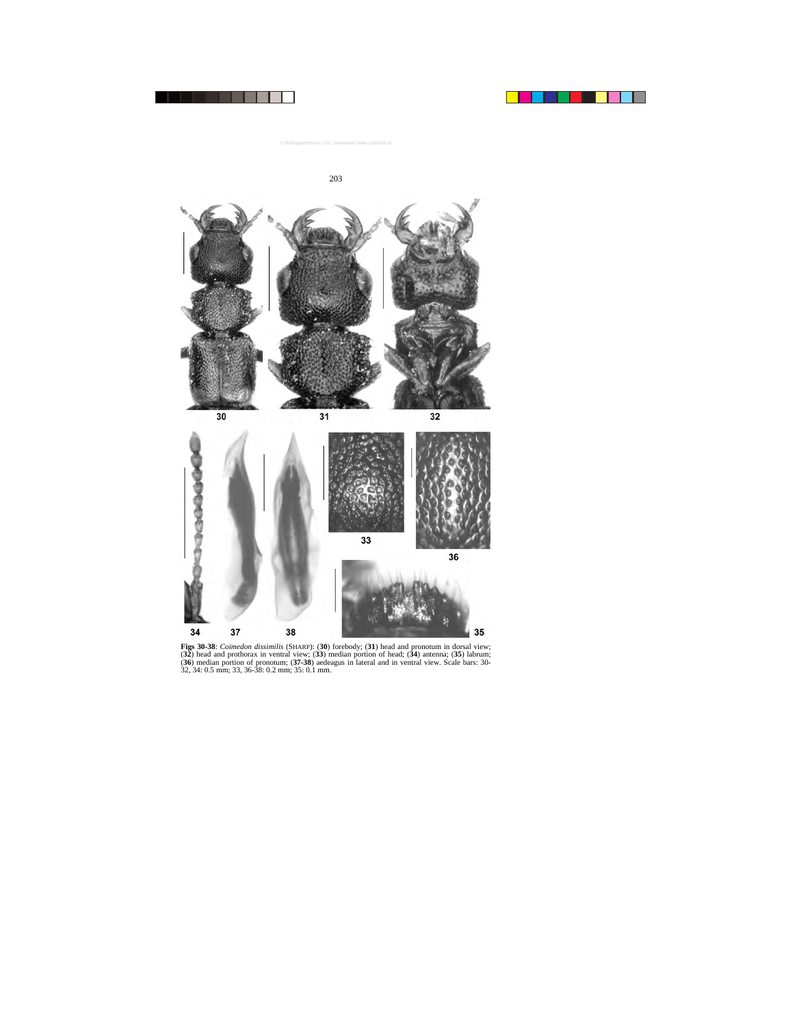



**Figs 30-38**: *Coimedon dissimilis* (SHARP): (**30**) forebody; (**31**) head and pronotum in dorsal view; (**32**) head and prothorax in ventral view; (**33**) median portion of head; (**34**) antenna; (**35**) labrum; (**36**) median portion of pronotum; (**37-38**) aedeagus in lateral and in ventral view. Scale bars: 30- 32, 34: 0.5 mm; 33, 36-38: 0.2 mm; 35: 0.1 mm.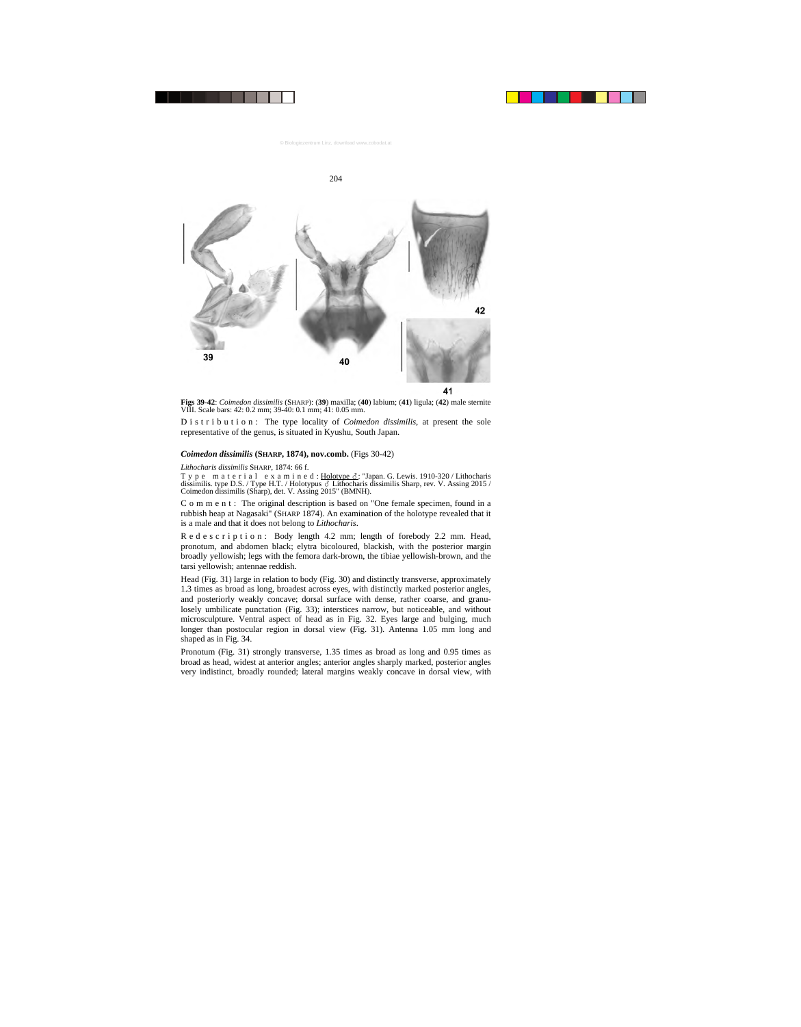

**Figs 39-42**: *Coimedon dissimilis* (SHARP): (**39**) maxilla; (**40**) labium; (**41**) ligula; (**42**) male sternite VIII. Scale bars: 42: 0.2 mm; 39-40: 0.1 mm; 41: 0.05 mm.

D i s t r i b u t i o n : The type locality of *Coimedon dissimilis*, at present the sole representative of the genus, is situated in Kyushu, South Japan.

### *Coimedon dissimilis* **(SHARP, 1874), nov.comb.** (Figs 30-42)

#### *Lithocharis dissimilis* SHARP, 1874: 66 f.

Type material examined: <u>Holotype &</u>: "Japan. G. Lewis. 1910-320 / Lithocharis dissimilis. type D.S. / Type H.T. / Holotypus  $\delta$  Lithocharis dissimilis Sharp, rev. V. Assing 2015 / Coimedon dissimilis (Sharp), det. V. Assing 2015" (BMNH).

C o m m e n t : The original description is based on "One female specimen, found in a rubbish heap at Nagasaki" (SHARP 1874). An examination of the holotype revealed that it is a male and that it does not belong to *Lithocharis*.

R e d e s c r i p t i o n : Body length 4.2 mm; length of forebody 2.2 mm. Head, pronotum, and abdomen black; elytra bicoloured, blackish, with the posterior margin broadly yellowish; legs with the femora dark-brown, the tibiae yellowish-brown, and the tarsi yellowish; antennae reddish.

Head (Fig. 31) large in relation to body (Fig. 30) and distinctly transverse, approximately 1.3 times as broad as long, broadest across eyes, with distinctly marked posterior angles, and posteriorly weakly concave; dorsal surface with dense, rather coarse, and granulosely umbilicate punctation (Fig. 33); interstices narrow, but noticeable, and without microsculpture. Ventral aspect of head as in Fig. 32. Eyes large and bulging, much longer than postocular region in dorsal view (Fig. 31). Antenna 1.05 mm long and shaped as in Fig. 34.

Pronotum (Fig. 31) strongly transverse, 1.35 times as broad as long and 0.95 times as broad as head, widest at anterior angles; anterior angles sharply marked, posterior angles very indistinct, broadly rounded; lateral margins weakly concave in dorsal view, with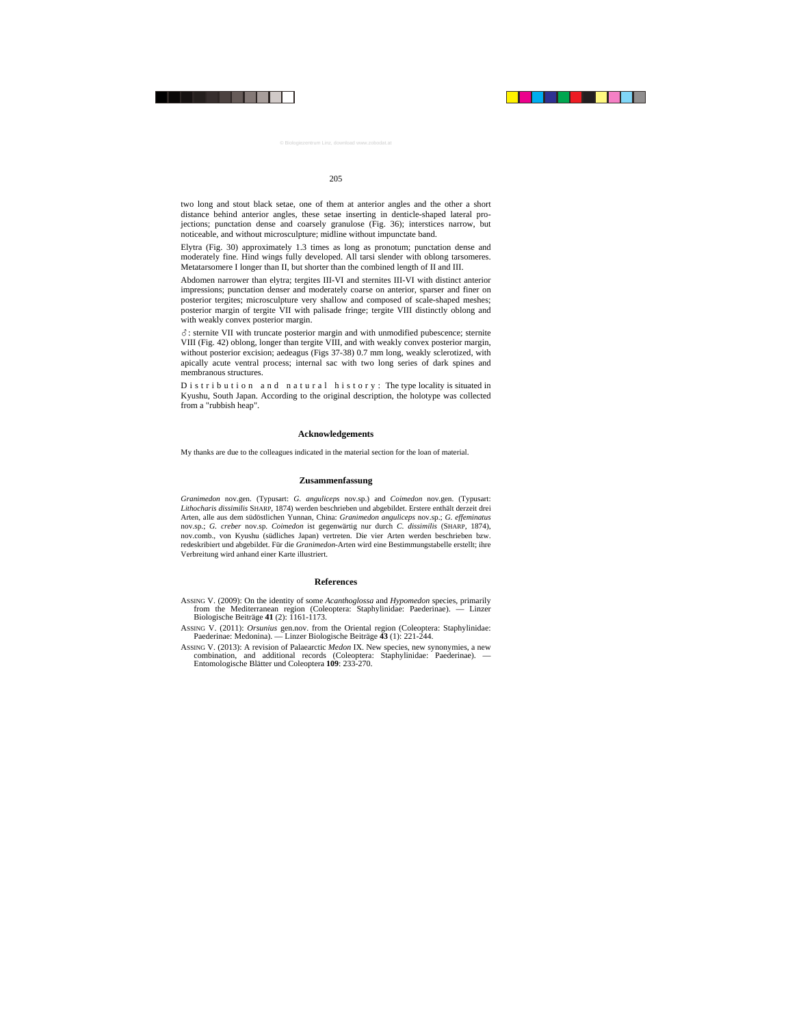two long and stout black setae, one of them at anterior angles and the other a short distance behind anterior angles, these setae inserting in denticle-shaped lateral projections; punctation dense and coarsely granulose (Fig. 36); interstices narrow, but noticeable, and without microsculpture; midline without impunctate band.

Elytra (Fig. 30) approximately 1.3 times as long as pronotum; punctation dense and moderately fine. Hind wings fully developed. All tarsi slender with oblong tarsomeres. Metatarsomere I longer than II, but shorter than the combined length of II and III.

Abdomen narrower than elytra; tergites III-VI and sternites III-VI with distinct anterior impressions; punctation denser and moderately coarse on anterior, sparser and finer on posterior tergites; microsculpture very shallow and composed of scale-shaped meshes; posterior margin of tergite VII with palisade fringe; tergite VIII distinctly oblong and with weakly convex posterior margin.

-: sternite VII with truncate posterior margin and with unmodified pubescence; sternite VIII (Fig. 42) oblong, longer than tergite VIII, and with weakly convex posterior margin, without posterior excision; aedeagus (Figs 37-38) 0.7 mm long, weakly sclerotized, with apically acute ventral process; internal sac with two long series of dark spines and membranous structures.

D i s t r i b u t i o n a n d n a t u r a l h i s t o r y : The type locality is situated in Kyushu, South Japan. According to the original description, the holotype was collected from a "rubbish heap".

#### **Acknowledgements**

My thanks are due to the colleagues indicated in the material section for the loan of material.

# **Zusammenfassung**

*Granimedon* nov.gen. (Typusart: *G. anguliceps* nov.sp.) and *Coimedon* nov.gen. (Typusart: *Lithocharis dissimilis* SHARP, 1874) werden beschrieben und abgebildet. Erstere enthält derzeit drei Arten, alle aus dem südöstlichen Yunnan, China: *Granimedon anguliceps* nov.sp.; *G. effeminatus* nov.sp.; *G. creber* nov.sp. *Coimedon* ist gegenwärtig nur durch *C. dissimilis* (SHARP, 1874), nov.comb., von Kyushu (südliches Japan) vertreten. Die vier Arten werden beschrieben bzw. redeskribiert und abgebildet. Für die *Granimedon*-Arten wird eine Bestimmungstabelle erstellt; ihre Verbreitung wird anhand einer Karte illustriert.

#### **References**

- ASSING V. (2009): On the identity of some *Acanthoglossa* and *Hypomedon* species, primarily from the Mediterranean region (Coleoptera: Staphylinidae: Paederinae). — Linzer Biologische Beiträge **41** (2): 1161-1173.
- ASSING V. (2011): *Orsunius* gen.nov. from the Oriental region (Coleoptera: Staphylinidae: Paederinae: Medonina). — Linzer Biologische Beiträge **43** (1): 221-244.
- ASSING V. (2013): A revision of Palaearctic *Medon* IX. New species, new synonymies, a new combination, and additional records (Coleoptera: Staphylinidae: Paederinae). — Entomologische Blätter und Coleoptera **109**: 233-270.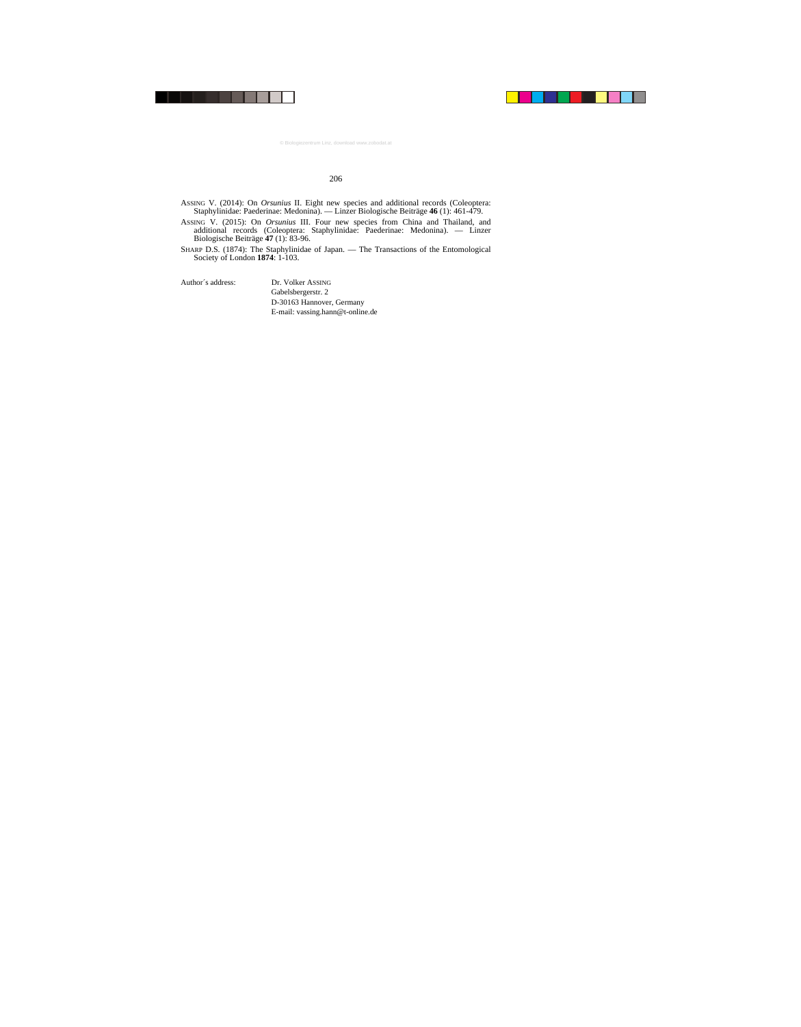- ASSING V. (2014): On *Orsunius* II. Eight new species and additional records (Coleoptera: Staphylinidae: Paederinae: Medonina). — Linzer Biologische Beiträge **46** (1): 461-479.
- ASSING V. (2015): On *Orsunius* III. Four new species from China and Thailand, and additional records (Coleoptera: Staphylinidae: Paederinae: Medonina). — Linzer Biologische Beiträge **47** (1): 83-96.
- SHARP D.S. (1874): The Staphylinidae of Japan. The Transactions of the Entomological Society of London **1874**: 1-103.

Author´s address: Dr. Volker ASSING

Gabelsbergerstr. 2 D-30163 Hannover, Germany E-mail: vassing.hann@t-online.de